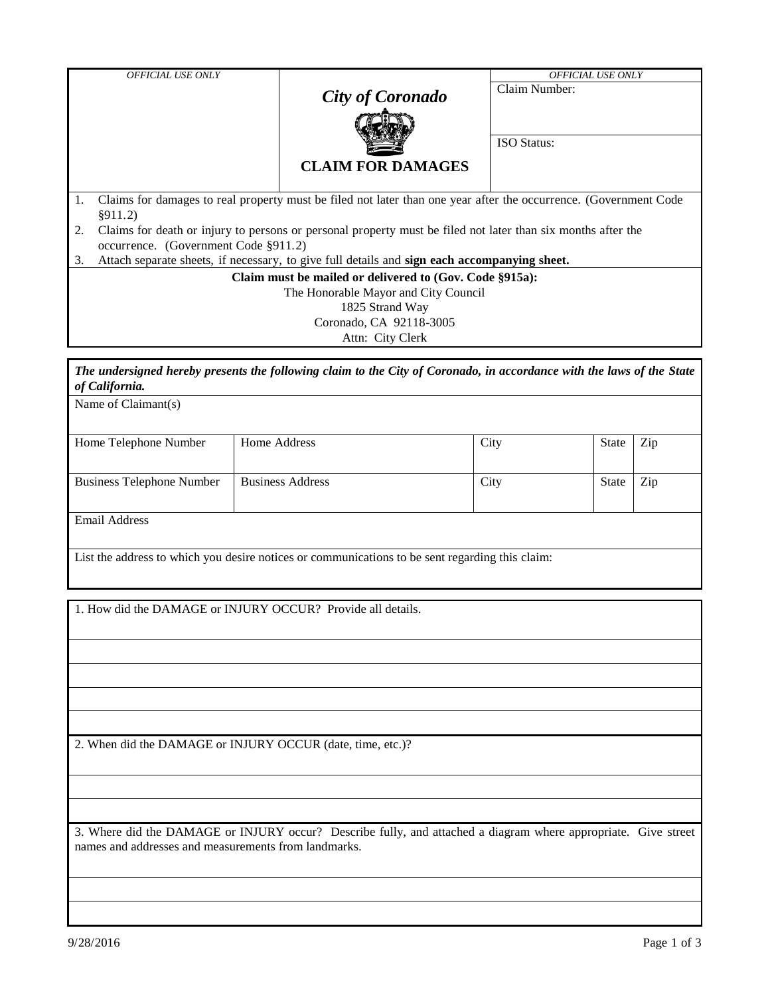|                                      | <b>OFFICIAL USE ONLY</b>                                                                                         |                          | <b>OFFICIAL USE ONLY</b> |  |  |  |  |  |  |  |
|--------------------------------------|------------------------------------------------------------------------------------------------------------------|--------------------------|--------------------------|--|--|--|--|--|--|--|
|                                      |                                                                                                                  |                          | Claim Number:            |  |  |  |  |  |  |  |
|                                      |                                                                                                                  | <b>City of Coronado</b>  |                          |  |  |  |  |  |  |  |
|                                      |                                                                                                                  |                          |                          |  |  |  |  |  |  |  |
|                                      |                                                                                                                  |                          | <b>ISO</b> Status:       |  |  |  |  |  |  |  |
|                                      |                                                                                                                  | <b>CLAIM FOR DAMAGES</b> |                          |  |  |  |  |  |  |  |
| 1.                                   | Claims for damages to real property must be filed not later than one year after the occurrence. (Government Code |                          |                          |  |  |  |  |  |  |  |
|                                      | §911.2)                                                                                                          |                          |                          |  |  |  |  |  |  |  |
| 2.                                   | Claims for death or injury to persons or personal property must be filed not later than six months after the     |                          |                          |  |  |  |  |  |  |  |
|                                      | occurrence. (Government Code §911.2)                                                                             |                          |                          |  |  |  |  |  |  |  |
| 3.                                   | Attach separate sheets, if necessary, to give full details and sign each accompanying sheet.                     |                          |                          |  |  |  |  |  |  |  |
|                                      | Claim must be mailed or delivered to (Gov. Code §915a):                                                          |                          |                          |  |  |  |  |  |  |  |
| The Honorable Mayor and City Council |                                                                                                                  |                          |                          |  |  |  |  |  |  |  |
| 1825 Strand Way                      |                                                                                                                  |                          |                          |  |  |  |  |  |  |  |
| Coronado, CA 92118-3005              |                                                                                                                  |                          |                          |  |  |  |  |  |  |  |
|                                      | Attn: City Clerk                                                                                                 |                          |                          |  |  |  |  |  |  |  |
|                                      |                                                                                                                  |                          |                          |  |  |  |  |  |  |  |

*The undersigned hereby presents the following claim to the City of Coronado, in accordance with the laws of the State of California.*

| Home Telephone Number            | Home Address            | City | State | Zip |  |  |  |
|----------------------------------|-------------------------|------|-------|-----|--|--|--|
|                                  |                         |      |       |     |  |  |  |
|                                  |                         |      |       |     |  |  |  |
| <b>Business Telephone Number</b> | <b>Business Address</b> | City | State | Zip |  |  |  |
|                                  |                         |      |       |     |  |  |  |
|                                  |                         |      |       |     |  |  |  |
| Email Address                    |                         |      |       |     |  |  |  |
|                                  |                         |      |       |     |  |  |  |

List the address to which you desire notices or communications to be sent regarding this claim:

1. How did the DAMAGE or INJURY OCCUR? Provide all details.

2. When did the DAMAGE or INJURY OCCUR (date, time, etc.)?

3. Where did the DAMAGE or INJURY occur? Describe fully, and attached a diagram where appropriate. Give street names and addresses and measurements from landmarks.

Name of Claimant(s)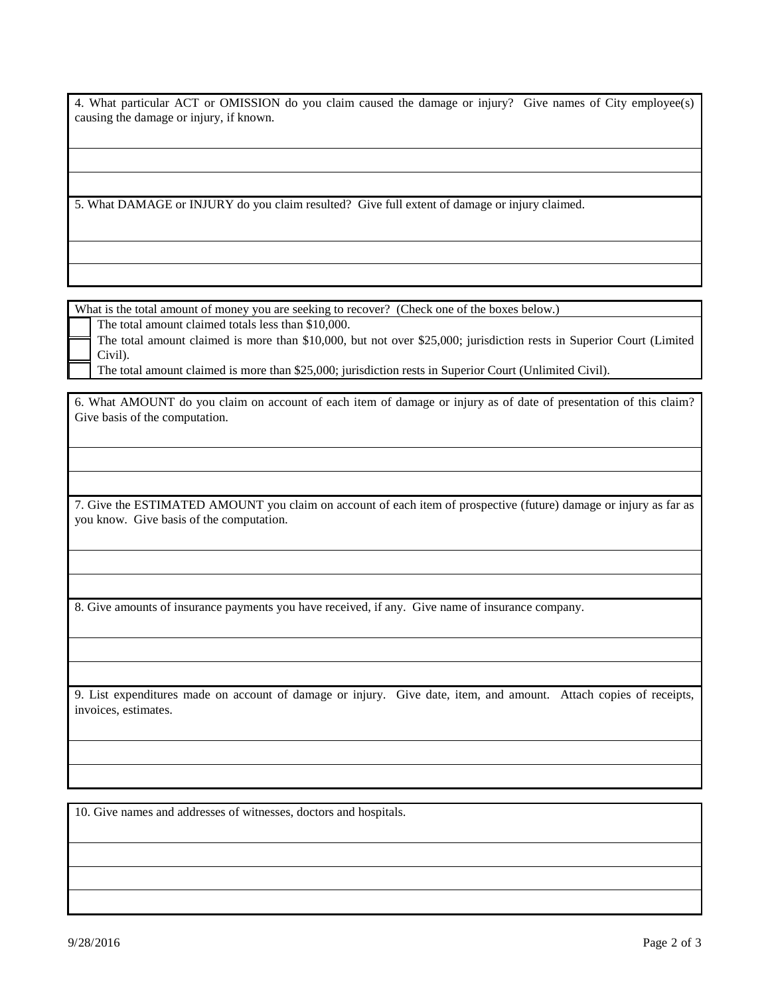4. What particular ACT or OMISSION do you claim caused the damage or injury? Give names of City employee(s) causing the damage or injury, if known.

5. What DAMAGE or INJURY do you claim resulted? Give full extent of damage or injury claimed.

What is the total amount of money you are seeking to recover? (Check one of the boxes below.)

The total amount claimed totals less than \$10,000.

The total amount claimed is more than \$10,000, but not over \$25,000; jurisdiction rests in Superior Court (Limited Civil).

The total amount claimed is more than \$25,000; jurisdiction rests in Superior Court (Unlimited Civil).

6. What AMOUNT do you claim on account of each item of damage or injury as of date of presentation of this claim? Give basis of the computation.

7. Give the ESTIMATED AMOUNT you claim on account of each item of prospective (future) damage or injury as far as you know. Give basis of the computation.

8. Give amounts of insurance payments you have received, if any. Give name of insurance company.

9. List expenditures made on account of damage or injury. Give date, item, and amount. Attach copies of receipts, invoices, estimates.

10. Give names and addresses of witnesses, doctors and hospitals.